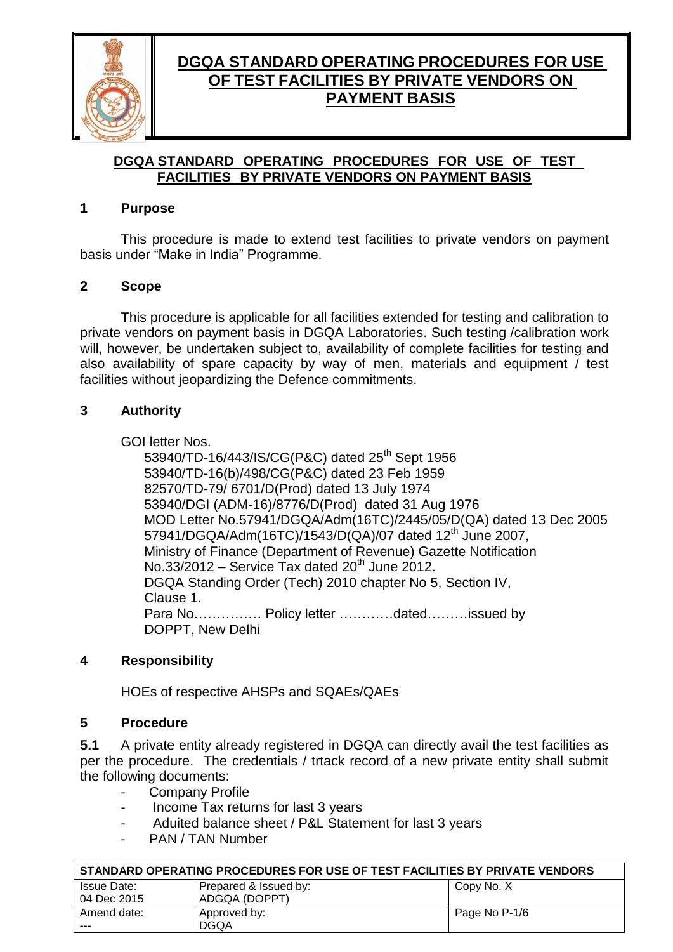

### **DGQA STANDARD OPERATING PROCEDURES FOR USE OF TEST FACILITIES BY PRIVATE VENDORS ON PAYMENT BASIS**

#### **1 Purpose**

This procedure is made to extend test facilities to private vendors on payment basis under "Make in India" Programme.

#### **2 Scope**

This procedure is applicable for all facilities extended for testing and calibration to private vendors on payment basis in DGQA Laboratories. Such testing /calibration work will, however, be undertaken subject to, availability of complete facilities for testing and also availability of spare capacity by way of men, materials and equipment / test facilities without jeopardizing the Defence commitments.

#### **3 Authority**

GOI letter Nos.

53940/TD-16/443/IS/CG(P&C) dated 25<sup>th</sup> Sept 1956 53940/TD-16(b)/498/CG(P&C) dated 23 Feb 1959 82570/TD-79/ 6701/D(Prod) dated 13 July 1974 53940/DGI (ADM-16)/8776/D(Prod) dated 31 Aug 1976 MOD Letter No.57941/DGQA/Adm(16TC)/2445/05/D(QA) dated 13 Dec 2005 57941/DGQA/Adm(16TC)/1543/D(QA)/07 dated 12<sup>th</sup> June 2007, Ministry of Finance (Department of Revenue) Gazette Notification No.33/2012 - Service Tax dated 20<sup>th</sup> June 2012. DGQA Standing Order (Tech) 2010 chapter No 5, Section IV, Clause 1. Para No…………… Policy letter …………dated………issued by DOPPT, New Delhi

### **4 Responsibility**

HOEs of respective AHSPs and SQAEs/QAEs

#### **5 Procedure**

**5.1** A private entity already registered in DGQA can directly avail the test facilities as per the procedure. The credentials / trtack record of a new private entity shall submit the following documents:

- Company Profile
- Income Tax returns for last 3 years
- Aduited balance sheet / P&L Statement for last 3 years
- PAN / TAN Number

| │ STANDARD OPERATING PROCEDURES FOR USE OF TEST FACILITIES BY PRIVATE VENDORS |                       |               |  |
|-------------------------------------------------------------------------------|-----------------------|---------------|--|
| Issue Date:                                                                   | Prepared & Issued by: | Copy No. X    |  |
| 04 Dec 2015                                                                   | ADGQA (DOPPT)         |               |  |
| Amend date:                                                                   | Approved by:          | Page No P-1/6 |  |
| $- - -$                                                                       | <b>DGOA</b>           |               |  |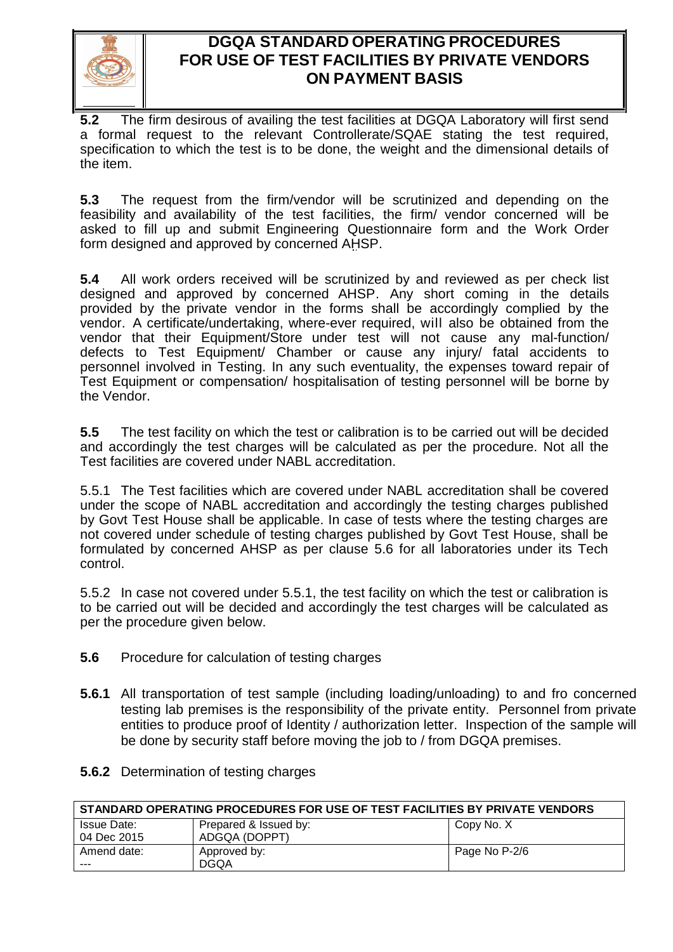

**5.2** The firm desirous of availing the test facilities at DGQA Laboratory will first send a formal request to the relevant Controllerate/SQAE stating the test required, specification to which the test is to be done, the weight and the dimensional details of the item.

**5.3** The request from the firm/vendor will be scrutinized and depending on the feasibility and availability of the test facilities, the firm/ vendor concerned will be asked to fill up and submit Engineering Questionnaire form and the Work Order form designed and approved by concerned AHSP.

**5.4** All work orders received will be scrutinized by and reviewed as per check list designed and approved by concerned AHSP. Any short coming in the details provided by the private vendor in the forms shall be accordingly complied by the vendor. A certificate/undertaking, where-ever required, will also be obtained from the vendor that their Equipment/Store under test will not cause any mal-function/ defects to Test Equipment/ Chamber or cause any injury/ fatal accidents to personnel involved in Testing. In any such eventuality, the expenses toward repair of Test Equipment or compensation/ hospitalisation of testing personnel will be borne by the Vendor.

**5.5** The test facility on which the test or calibration is to be carried out will be decided and accordingly the test charges will be calculated as per the procedure. Not all the Test facilities are covered under NABL accreditation.

5.5.1 The Test facilities which are covered under NABL accreditation shall be covered under the scope of NABL accreditation and accordingly the testing charges published by Govt Test House shall be applicable. In case of tests where the testing charges are not covered under schedule of testing charges published by Govt Test House, shall be formulated by concerned AHSP as per clause 5.6 for all laboratories under its Tech control.

5.5.2 In case not covered under 5.5.1, the test facility on which the test or calibration is to be carried out will be decided and accordingly the test charges will be calculated as per the procedure given below.

- **5.6** Procedure for calculation of testing charges
- **5.6.1** All transportation of test sample (including loading/unloading) to and fro concerned testing lab premises is the responsibility of the private entity. Personnel from private entities to produce proof of Identity / authorization letter. Inspection of the sample will be done by security staff before moving the job to / from DGQA premises.
- **5.6.2** Determination of testing charges

| STANDARD OPERATING PROCEDURES FOR USE OF TEST FACILITIES BY PRIVATE VENDORS |                       |               |  |
|-----------------------------------------------------------------------------|-----------------------|---------------|--|
| Issue Date:                                                                 | Prepared & Issued by: | Copy No. X    |  |
| 04 Dec 2015                                                                 | ADGQA (DOPPT)         |               |  |
| Amend date:                                                                 | Approved by:          | Page No P-2/6 |  |
| ---                                                                         | <b>DGOA</b>           |               |  |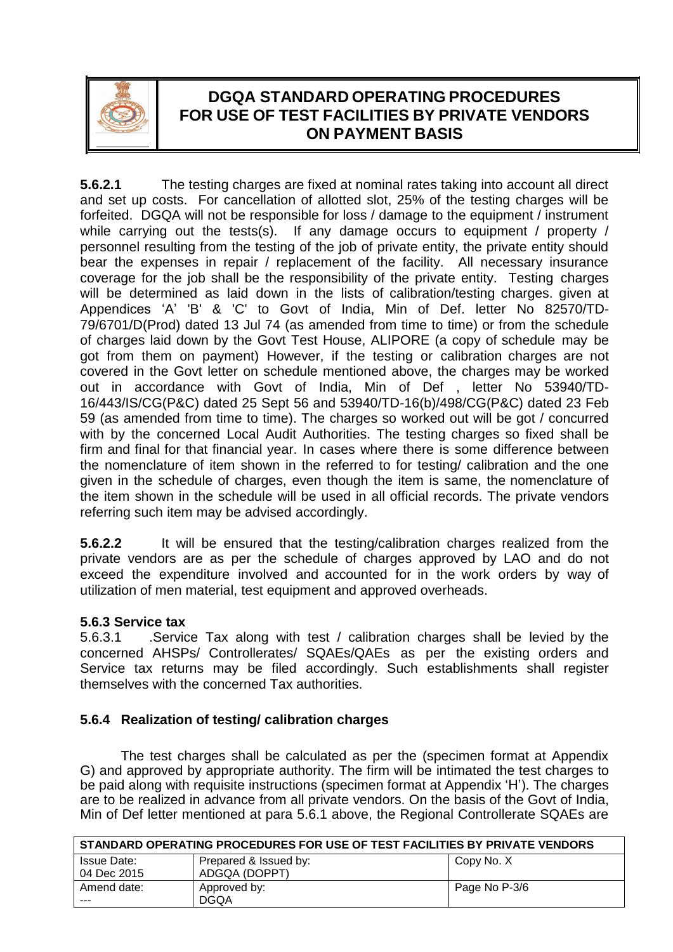

**5.6.2.1** The testing charges are fixed at nominal rates taking into account all direct and set up costs. For cancellation of allotted slot, 25% of the testing charges will be forfeited. DGQA will not be responsible for loss / damage to the equipment / instrument while carrying out the tests(s). If any damage occurs to equipment / property / personnel resulting from the testing of the job of private entity, the private entity should bear the expenses in repair / replacement of the facility. All necessary insurance coverage for the job shall be the responsibility of the private entity. Testing charges will be determined as laid down in the lists of calibration/testing charges. given at Appendices 'A' 'B' & 'C' to Govt of India, Min of Def. letter No 82570/TD-79/6701/D(Prod) dated 13 Jul 74 (as amended from time to time) or from the schedule of charges laid down by the Govt Test House, ALIPORE (a copy of schedule may be got from them on payment) However, if the testing or calibration charges are not covered in the Govt letter on schedule mentioned above, the charges may be worked out in accordance with Govt of India, Min of Def , letter No 53940/TD-16/443/IS/CG(P&C) dated 25 Sept 56 and 53940/TD-16(b)/498/CG(P&C) dated 23 Feb 59 (as amended from time to time). The charges so worked out will be got / concurred with by the concerned Local Audit Authorities. The testing charges so fixed shall be firm and final for that financial year. In cases where there is some difference between the nomenclature of item shown in the referred to for testing/ calibration and the one given in the schedule of charges, even though the item is same, the nomenclature of the item shown in the schedule will be used in all official records. The private vendors referring such item may be advised accordingly.

**5.6.2.2** It will be ensured that the testing/calibration charges realized from the private vendors are as per the schedule of charges approved by LAO and do not exceed the expenditure involved and accounted for in the work orders by way of utilization of men material, test equipment and approved overheads.

### **5.6.3 Service tax**

5.6.3.1 .Service Tax along with test / calibration charges shall be levied by the concerned AHSPs/ Controllerates/ SQAEs/QAEs as per the existing orders and Service tax returns may be filed accordingly. Such establishments shall register themselves with the concerned Tax authorities.

### **5.6.4 Realization of testing/ calibration charges**

The test charges shall be calculated as per the (specimen format at Appendix G) and approved by appropriate authority. The firm will be intimated the test charges to be paid along with requisite instructions (specimen format at Appendix 'H'). The charges are to be realized in advance from all private vendors. On the basis of the Govt of India, Min of Def letter mentioned at para 5.6.1 above, the Regional Controllerate SQAEs are

| STANDARD OPERATING PROCEDURES FOR USE OF TEST FACILITIES BY PRIVATE VENDORS |                       |               |
|-----------------------------------------------------------------------------|-----------------------|---------------|
| <b>Issue Date:</b>                                                          | Prepared & Issued by: | Copy No. X    |
| 04 Dec 2015                                                                 | ADGQA (DOPPT)         |               |
| Amend date:                                                                 | Approved by:          | Page No P-3/6 |
| ---                                                                         | <b>DGOA</b>           |               |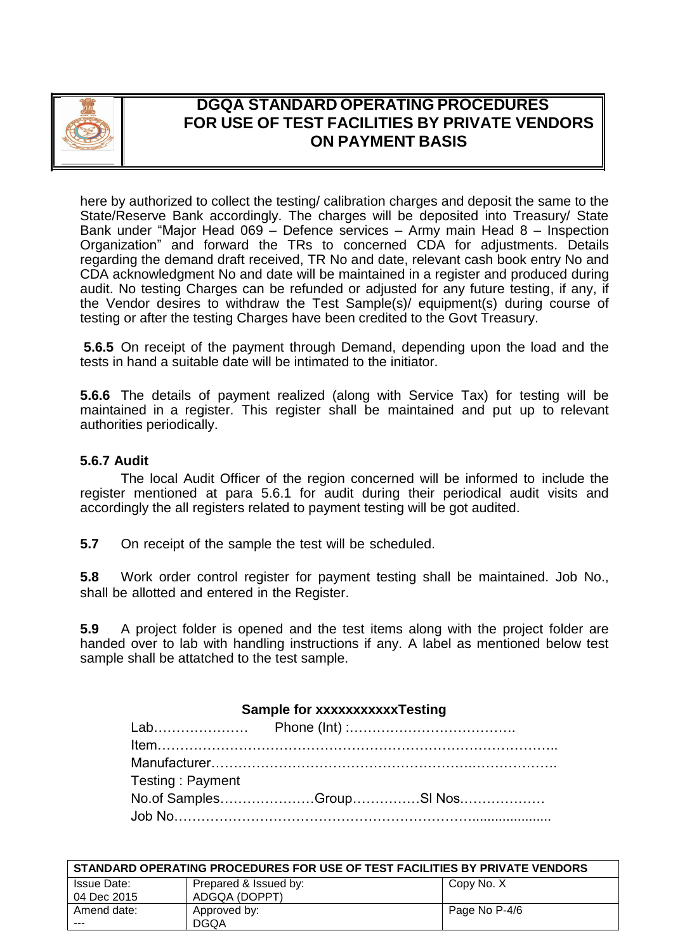

here by authorized to collect the testing/ calibration charges and deposit the same to the State/Reserve Bank accordingly. The charges will be deposited into Treasury/ State Bank under "Major Head 069 – Defence services – Army main Head 8 – Inspection Organization" and forward the TRs to concerned CDA for adjustments. Details regarding the demand draft received, TR No and date, relevant cash book entry No and CDA acknowledgment No and date will be maintained in a register and produced during audit. No testing Charges can be refunded or adjusted for any future testing, if any, if the Vendor desires to withdraw the Test Sample(s)/ equipment(s) during course of testing or after the testing Charges have been credited to the Govt Treasury.

**5.6.5** On receipt of the payment through Demand, depending upon the load and the tests in hand a suitable date will be intimated to the initiator.

**5.6.6** The details of payment realized (along with Service Tax) for testing will be maintained in a register. This register shall be maintained and put up to relevant authorities periodically.

#### **5.6.7 Audit**

The local Audit Officer of the region concerned will be informed to include the register mentioned at para 5.6.1 for audit during their periodical audit visits and accordingly the all registers related to payment testing will be got audited.

**5.7** On receipt of the sample the test will be scheduled.

**5.8** Work order control register for payment testing shall be maintained. Job No., shall be allotted and entered in the Register.

**5.9** A project folder is opened and the test items along with the project folder are handed over to lab with handling instructions if any. A label as mentioned below test sample shall be attatched to the test sample.

#### **Sample for xxxxxxxxxxxTesting**

| Testing: Payment         |  |  |
|--------------------------|--|--|
| No.of SamplesGroupSI Nos |  |  |
|                          |  |  |

| STANDARD OPERATING PROCEDURES FOR USE OF TEST FACILITIES BY PRIVATE VENDORS |                       |               |
|-----------------------------------------------------------------------------|-----------------------|---------------|
| Issue Date:                                                                 | Prepared & Issued by: | Copy No. X    |
| 04 Dec 2015                                                                 | ADGQA (DOPPT)         |               |
| Amend date:                                                                 | Approved by:          | Page No P-4/6 |
| ---                                                                         | <b>DGOA</b>           |               |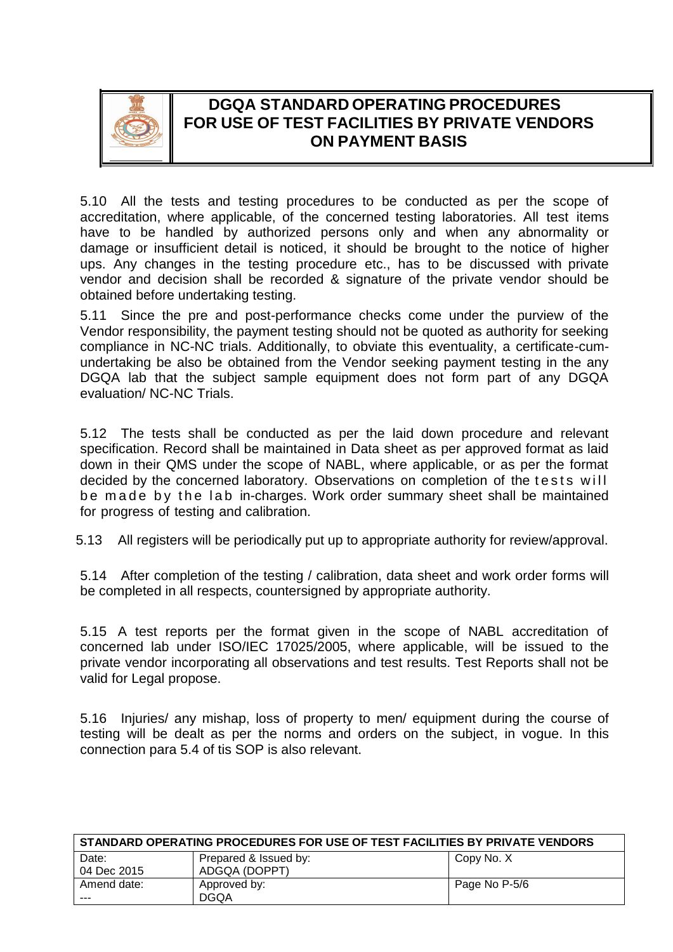

5.10 All the tests and testing procedures to be conducted as per the scope of accreditation, where applicable, of the concerned testing laboratories. All test items have to be handled by authorized persons only and when any abnormality or damage or insufficient detail is noticed, it should be brought to the notice of higher ups. Any changes in the testing procedure etc., has to be discussed with private vendor and decision shall be recorded & signature of the private vendor should be obtained before undertaking testing.

5.11 Since the pre and post-performance checks come under the purview of the Vendor responsibility, the payment testing should not be quoted as authority for seeking compliance in NC-NC trials. Additionally, to obviate this eventuality, a certificate-cumundertaking be also be obtained from the Vendor seeking payment testing in the any DGQA lab that the subject sample equipment does not form part of any DGQA evaluation/ NC-NC Trials.

5.12 The tests shall be conducted as per the laid down procedure and relevant specification. Record shall be maintained in Data sheet as per approved format as laid down in their QMS under the scope of NABL, where applicable, or as per the format decided by the concerned laboratory. Observations on completion of the tests will be made by the lab in-charges. Work order summary sheet shall be maintained for progress of testing and calibration.

5.13 All registers will be periodically put up to appropriate authority for review/approval.

5.14 After completion of the testing / calibration, data sheet and work order forms will be completed in all respects, countersigned by appropriate authority.

5.15 A test reports per the format given in the scope of NABL accreditation of concerned lab under ISO/IEC 17025/2005, where applicable, will be issued to the private vendor incorporating all observations and test results. Test Reports shall not be valid for Legal propose.

5.16 Injuries/ any mishap, loss of property to men/ equipment during the course of testing will be dealt as per the norms and orders on the subject, in vogue. In this connection para 5.4 of tis SOP is also relevant.

| STANDARD OPERATING PROCEDURES FOR USE OF TEST FACILITIES BY PRIVATE VENDORS |                       |               |  |
|-----------------------------------------------------------------------------|-----------------------|---------------|--|
| Date:                                                                       | Prepared & Issued by: | Copy No. X    |  |
| 04 Dec 2015                                                                 | ADGQA (DOPPT)         |               |  |
| Amend date:                                                                 | Approved by:          | Page No P-5/6 |  |
| ---                                                                         | <b>DGOA</b>           |               |  |